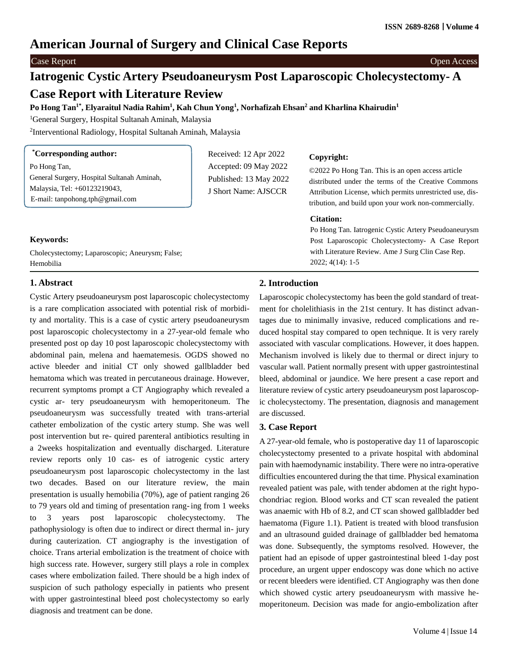# **American Journal of Surgery and Clinical Case Reports**

#### Case Report Open Access

# **Iatrogenic Cystic Artery Pseudoaneurysm Post Laparoscopic Cholecystectomy- A**

## **Case Report with Literature Review**

Po Hong Tan<sup>1\*</sup>, Elyaraitul Nadia Rahim<sup>1</sup>, Kah Chun Yong<sup>1</sup>, Norhafizah Ehsan<sup>2</sup> and Kharlina Khairudin<sup>1</sup>

<sup>1</sup>General Surgery, Hospital Sultanah Aminah, Malaysia

Cholecystectomy; Laparoscopic; Aneurysm; False;

2 Interventional Radiology, Hospital Sultanah Aminah, Malaysia

| <i>*Corresponding author:</i>              | Received: 12 Apr 2022  |
|--------------------------------------------|------------------------|
| Po Hong Tan,                               | Accepted: 09 May 2022  |
| General Surgery, Hospital Sultanah Aminah, | Published: 13 May 2022 |
| Malaysia, Tel: +60123219043,               | J Short Name: AJSCCR   |
| E-mail: tanpohong.tph@gmail.com            |                        |

#### **Copyright:**

©2022 Po Hong Tan. This is an open access article distributed under the terms of the Creative Commons Attribution License, which permits unrestricted use, distribution, and build upon your work non-commercially.

#### **Citation:**

Po Hong Tan. Iatrogenic Cystic Artery Pseudoaneurysm Post Laparoscopic Cholecystectomy- A Case Report with Literature Review. Ame J Surg Clin Case Rep. 2022; 4(14): 1-5

#### Hemobilia

**Keywords:**

#### **1. Abstract**

Cystic Artery pseudoaneurysm post laparoscopic cholecystectomy is a rare complication associated with potential risk of morbidity and mortality. This is a case of cystic artery pseudoaneurysm post laparoscopic cholecystectomy in a 27-year-old female who presented post op day 10 post laparoscopic cholecystectomy with abdominal pain, melena and haematemesis. OGDS showed no active bleeder and initial CT only showed gallbladder bed hematoma which was treated in percutaneous drainage. However, recurrent symptoms prompt a CT Angiography which revealed a cystic ar- tery pseudoaneurysm with hemoperitoneum. The pseudoaneurysm was successfully treated with trans-arterial catheter embolization of the cystic artery stump. She was well post intervention but re- quired parenteral antibiotics resulting in a 2weeks hospitalization and eventually discharged. Literature review reports only 10 cas- es of iatrogenic cystic artery pseudoaneurysm post laparoscopic cholecystectomy in the last two decades. Based on our literature review, the main presentation is usually hemobilia (70%), age of patient ranging 26 to 79 years old and timing of presentation rang-ing from 1 weeks to 3 years post laparoscopic cholecystectomy. The pathophysiology is often due to indirect or direct thermal in- jury during cauterization. CT angiography is the investigation of choice. Trans arterial embolization is the treatment of choice with high success rate. However, surgery still plays a role in complex cases where embolization failed. There should be a high index of suspicion of such pathology especially in patients who present with upper gastrointestinal bleed post cholecystectomy so early diagnosis and treatment can be done.

### **2. Introduction**

Laparoscopic cholecystectomy has been the gold standard of treatment for cholelithiasis in the 21st century. It has distinct advantages due to minimally invasive, reduced complications and reduced hospital stay compared to open technique. It is very rarely associated with vascular complications. However, it does happen. Mechanism involved is likely due to thermal or direct injury to vascular wall. Patient normally present with upper gastrointestinal bleed, abdominal or jaundice. We here present a case report and literature review of cystic artery pseudoaneurysm post laparoscopic cholecystectomy. The presentation, diagnosis and management are discussed.

#### **3. Case Report**

A 27-year-old female, who is postoperative day 11 of laparoscopic cholecystectomy presented to a private hospital with abdominal pain with haemodynamic instability. There were no intra-operative difficulties encountered during the that time. Physical examination revealed patient was pale, with tender abdomen at the right hypochondriac region. Blood works and CT scan revealed the patient was anaemic with Hb of 8.2, and CT scan showed gallbladder bed haematoma (Figure 1.1). Patient is treated with blood transfusion and an ultrasound guided drainage of gallbladder bed hematoma was done. Subsequently, the symptoms resolved. However, the patient had an episode of upper gastrointestinal bleed 1-day post procedure, an urgent upper endoscopy was done which no active or recent bleeders were identified. CT Angiography was then done which showed cystic artery pseudoaneurysm with massive hemoperitoneum. Decision was made for angio-embolization after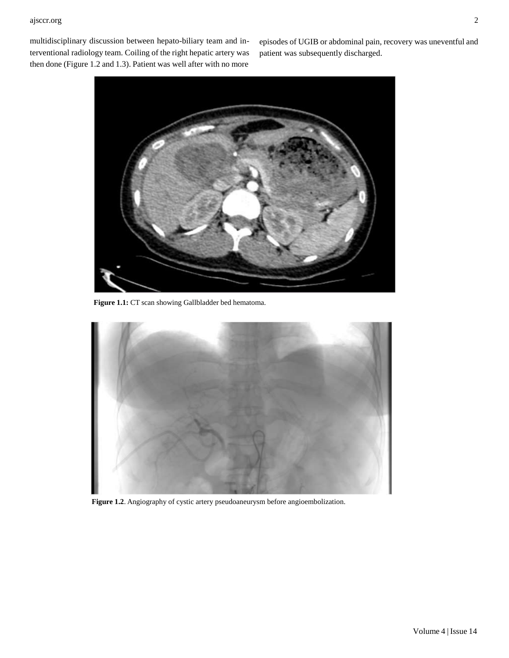#### ajsccr.org 2

multidisciplinary discussion between hepato-biliary team and interventional radiology team. Coiling of the right hepatic artery was then done (Figure 1.2 and 1.3). Patient was well after with no more

episodes of UGIB or abdominal pain, recovery was uneventful and patient was subsequently discharged.



**Figure 1.1:** CT scan showing Gallbladder bed hematoma.



**Figure 1.2**. Angiography of cystic artery pseudoaneurysm before angioembolization.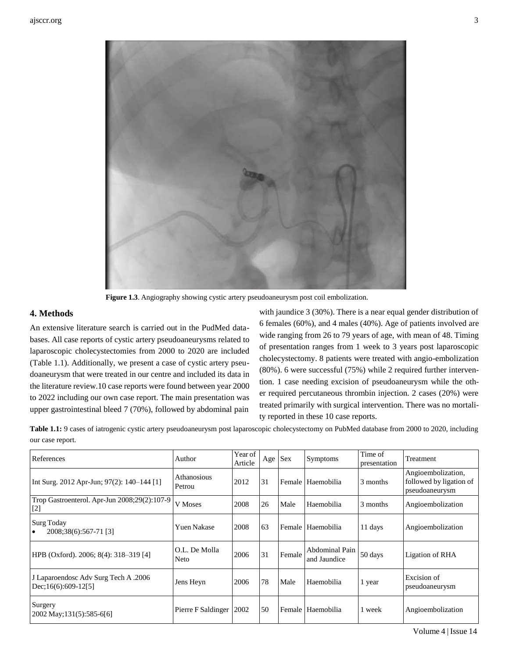

**Figure 1.3**. Angiography showing cystic artery pseudoaneurysm post coil embolization.

#### **4. Methods**

An extensive literature search is carried out in the PudMed databases. All case reports of cystic artery pseudoaneurysms related to laparoscopic cholecystectomies from 2000 to 2020 are included (Table 1.1). Additionally, we present a case of cystic artery pseudoaneurysm that were treated in our centre and included its data in the literature review.10 case reports were found between year 2000 to 2022 including our own case report. The main presentation was upper gastrointestinal bleed 7 (70%), followed by abdominal pain

with jaundice 3 (30%). There is a near equal gender distribution of 6 females (60%), and 4 males (40%). Age of patients involved are wide ranging from 26 to 79 years of age, with mean of 48. Timing of presentation ranges from 1 week to 3 years post laparoscopic cholecystectomy. 8 patients were treated with angio-embolization (80%). 6 were successful (75%) while 2 required further intervention. 1 case needing excision of pseudoaneurysm while the other required percutaneous thrombin injection. 2 cases (20%) were treated primarily with surgical intervention. There was no mortality reported in these 10 case reports.

**Table 1.1:** 9 cases of iatrogenic cystic artery pseudoaneurysm post laparoscopic cholecystectomy on PubMed database from 2000 to 2020, including our case report.

| References                                                    | Author                    | Year of<br>Article | Age | <b>Sex</b> | Symptoms                       | Time of<br>presentation | Treatment                                                       |
|---------------------------------------------------------------|---------------------------|--------------------|-----|------------|--------------------------------|-------------------------|-----------------------------------------------------------------|
| Int Surg. 2012 Apr-Jun; 97(2): 140–144 [1]                    | Athanosious<br>Petrou     | 2012               | 31  |            | Female   Haemobilia            | 3 months                | Angioembolization,<br>followed by ligation of<br>pseudoaneurysm |
| Trop Gastroenterol. Apr-Jun 2008;29(2):107-9<br>$[2]$         | V Moses                   | 2008               | 26  | Male       | Haemobilia                     | 3 months                | Angioembolization                                               |
| <b>Surg Today</b><br>2008;38(6):567-71 [3]<br>$\bullet$       | <b>Yuen Nakase</b>        | 2008               | 63  |            | Female   Haemobilia            | 11 days                 | Angioembolization                                               |
| HPB (Oxford). 2006; 8(4): 318–319 [4]                         | O.L. De Molla<br>Neto     | 2006               | 31  | Female     | Abdominal Pain<br>and Jaundice | 50 days                 | Ligation of RHA                                                 |
| J Laparoendosc Adv Surg Tech A .2006<br>$Dec;16(6):609-12[5]$ | Jens Heyn                 | 2006               | 78  | Male       | Haemobilia                     | 1 year                  | Excision of<br>pseudoaneurysm                                   |
| Surgery<br>2002 May; 131(5): 585-6[6]                         | Pierre F Saldinger   2002 |                    | 50  |            | Female Haemobilia              | 1 week                  | Angioembolization                                               |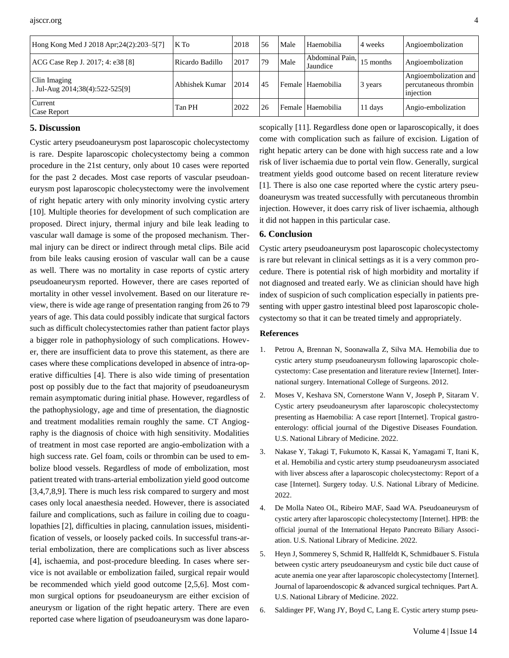| Hong Kong Med J 2018 Apr; 24(2): 203–5[7]       | K To            | 2018 | 56 | Male | Haemobilia                  | 4 weeks   | Angioembolization                                           |
|-------------------------------------------------|-----------------|------|----|------|-----------------------------|-----------|-------------------------------------------------------------|
| ACG Case Rep J. 2017; 4: e38 [8]                | Ricardo Badillo | 2017 | 79 | Male | Abdominal Pain,<br>Jaundice | 15 months | Angioembolization                                           |
| Clin Imaging<br>. Jul-Aug 2014;38(4):522-525[9] | Abhishek Kumar  | 2014 | 45 |      | l Female   Haemobilia       | 3 years   | Angioembolization and<br>percutaneous thrombin<br>injection |
| Current<br><b>Case Report</b>                   | Tan PH          | 2022 | 26 |      | Female   Haemobilia         | 11 days   | Angio-embolization                                          |

#### **5. Discussion**

Cystic artery pseudoaneurysm post laparoscopic cholecystectomy is rare. Despite laparoscopic cholecystectomy being a common procedure in the 21st century, only about 10 cases were reported for the past 2 decades. Most case reports of vascular pseudoaneurysm post laparoscopic cholecystectomy were the involvement of right hepatic artery with only minority involving cystic artery [10]. Multiple theories for development of such complication are proposed. Direct injury, thermal injury and bile leak leading to vascular wall damage is some of the proposed mechanism. Thermal injury can be direct or indirect through metal clips. Bile acid from bile leaks causing erosion of vascular wall can be a cause as well. There was no mortality in case reports of cystic artery pseudoaneurysm reported. However, there are cases reported of mortality in other vessel involvement. Based on our literature review, there is wide age range of presentation ranging from 26 to 79 years of age. This data could possibly indicate that surgical factors such as difficult cholecystectomies rather than patient factor plays a bigger role in pathophysiology of such complications. However, there are insufficient data to prove this statement, as there are cases where these complications developed in absence of intra-operative difficulties [4]. There is also wide timing of presentation post op possibly due to the fact that majority of pseudoaneurysm remain asymptomatic during initial phase. However, regardless of the pathophysiology, age and time of presentation, the diagnostic and treatment modalities remain roughly the same. CT Angiography is the diagnosis of choice with high sensitivity. Modalities of treatment in most case reported are angio-embolization with a high success rate. Gel foam, coils or thrombin can be used to embolize blood vessels. Regardless of mode of embolization, most patient treated with trans-arterial embolization yield good outcome [3,4,7,8,9]. There is much less risk compared to surgery and most cases only local anaesthesia needed. However, there is associated failure and complications, such as failure in coiling due to coagulopathies [2], difficulties in placing, cannulation issues, misidentification of vessels, or loosely packed coils. In successful trans-arterial embolization, there are complications such as liver abscess [4], ischaemia, and post-procedure bleeding. In cases where service is not available or embolization failed, surgical repair would be recommended which yield good outcome [2,5,6]. Most common surgical options for pseudoaneurysm are either excision of aneurysm or ligation of the right hepatic artery. There are even reported case where ligation of pseudoaneurysm was done laparoscopically [11]. Regardless done open or laparoscopically, it does come with complication such as failure of excision. Ligation of right hepatic artery can be done with high success rate and a low risk of liver ischaemia due to portal vein flow. Generally, surgical treatment yields good outcome based on recent literature review [1]. There is also one case reported where the cystic artery pseudoaneurysm was treated successfully with percutaneous thrombin injection. However, it does carry risk of liver ischaemia, although it did not happen in this particular case.

#### **6. Conclusion**

Cystic artery pseudoaneurysm post laparoscopic cholecystectomy is rare but relevant in clinical settings as it is a very common procedure. There is potential risk of high morbidity and mortality if not diagnosed and treated early. We as clinician should have high index of suspicion of such complication especially in patients presenting with upper gastro intestinal bleed post laparoscopic cholecystectomy so that it can be treated timely and appropriately.

#### **References**

- 1. Petrou A, Brennan N, Soonawalla Z, Silva MA. Hemobilia due to cystic artery stump pseudoaneurysm following laparoscopic cholecystectomy: Case presentation and literature review [Internet]. International surgery. International College of Surgeons. 2012.
- 2. [Moses V, Keshava SN, Cornerstone Wann V, Joseph P, Sitaram V.](https://pubmed.ncbi.nlm.nih.gov/18972774/) [Cystic artery pseudoaneurysm after laparoscopic cholecystectomy](https://pubmed.ncbi.nlm.nih.gov/18972774/) [presenting as Haemobilia: A case report \[Internet\]. Tropical gastro](https://pubmed.ncbi.nlm.nih.gov/18972774/)enterology: official journal of the Digestive Diseases [Foundation.](https://pubmed.ncbi.nlm.nih.gov/18972774/) U.S. National Library of [Medicine.](https://pubmed.ncbi.nlm.nih.gov/18972774/) 2022.
- 3. Nakase Y, Takagi T, Fukumoto K, Kassai K, Yamagami T, Itani K, et al. Hemobilia and cystic artery stump pseudoaneurysm associated with liver abscess after a laparoscopic cholecystectomy: Report of a case [Internet]. Surgery today. U.S. National Library of Medicine. 2022.
- 4. De Molla Nateo OL, Ribeiro MAF, Saad WA. Pseudoaneurysm of cystic artery after laparoscopic cholecystectomy [Internet]. HPB: the official journal of the International Hepato Pancreato Biliary Association. U.S. National Library of Medicine. 2022.
- 5. Heyn J, Sommerey S, Schmid R, Hallfeldt K, Schmidbauer S. Fistula between cystic artery pseudoaneurysm and cystic bile duct cause of acute anemia one year after laparoscopic cholecystectomy [Internet]. Journal of laparoendoscopic & advanced surgical techniques. Part A. U.S. National Library of Medicine. 2022.
- 6. Saldinger PF, Wang JY, Boyd C, Lang E. Cystic [artery stump pseu-](https://pubmed.ncbi.nlm.nih.gov/12019416/)